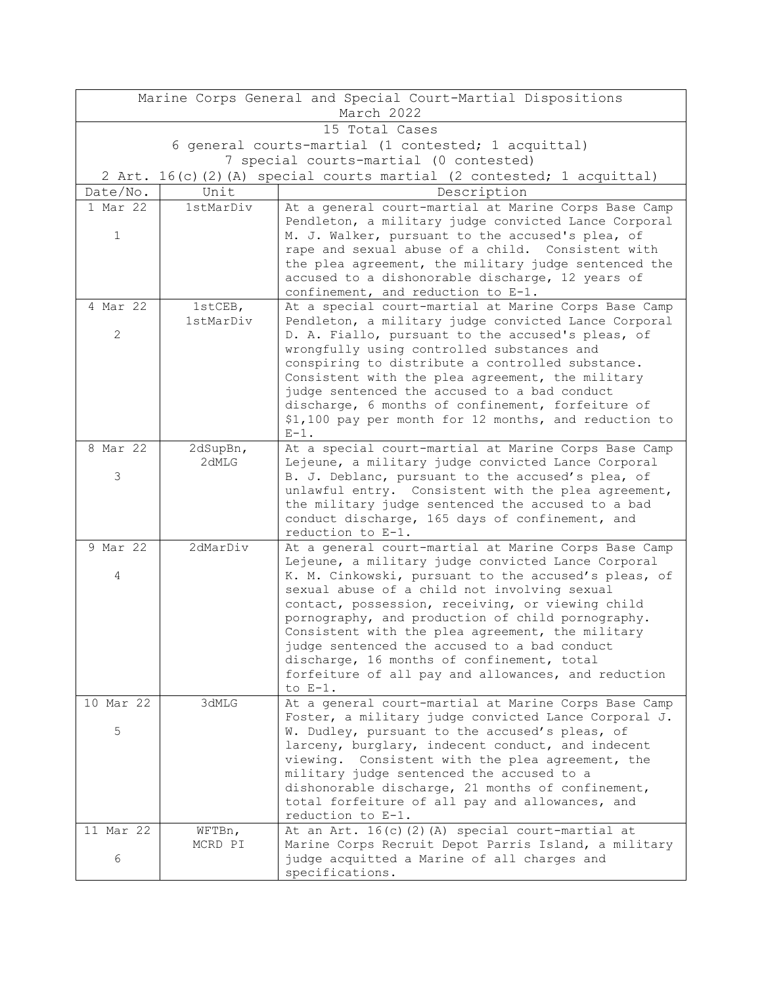| Marine Corps General and Special Court-Martial Dispositions |                   |                                                                                                         |  |  |  |
|-------------------------------------------------------------|-------------------|---------------------------------------------------------------------------------------------------------|--|--|--|
| March 2022                                                  |                   |                                                                                                         |  |  |  |
| 15 Total Cases                                              |                   |                                                                                                         |  |  |  |
| 6 general courts-martial (1 contested; 1 acquittal)         |                   |                                                                                                         |  |  |  |
| 7 special courts-martial (0 contested)                      |                   |                                                                                                         |  |  |  |
| 2 Art.                                                      |                   | 16(c)(2)(A) special courts martial (2 contested; 1 acquittal)                                           |  |  |  |
| Date/No.                                                    | Unit              | Description                                                                                             |  |  |  |
| 1 Mar 22                                                    | 1stMarDiv         | At a general court-martial at Marine Corps Base Camp                                                    |  |  |  |
|                                                             |                   | Pendleton, a military judge convicted Lance Corporal                                                    |  |  |  |
| $\mathbf 1$                                                 |                   | M. J. Walker, pursuant to the accused's plea, of                                                        |  |  |  |
|                                                             |                   | rape and sexual abuse of a child. Consistent with                                                       |  |  |  |
|                                                             |                   | the plea agreement, the military judge sentenced the                                                    |  |  |  |
|                                                             |                   | accused to a dishonorable discharge, 12 years of<br>confinement, and reduction to E-1.                  |  |  |  |
| 4 Mar 22                                                    | 1stCEB,           | At a special court-martial at Marine Corps Base Camp                                                    |  |  |  |
|                                                             | 1stMarDiv         | Pendleton, a military judge convicted Lance Corporal                                                    |  |  |  |
| $\mathbf{2}$                                                |                   | D. A. Fiallo, pursuant to the accused's pleas, of                                                       |  |  |  |
|                                                             |                   | wrongfully using controlled substances and                                                              |  |  |  |
|                                                             |                   | conspiring to distribute a controlled substance.                                                        |  |  |  |
|                                                             |                   | Consistent with the plea agreement, the military                                                        |  |  |  |
|                                                             |                   | judge sentenced the accused to a bad conduct                                                            |  |  |  |
|                                                             |                   | discharge, 6 months of confinement, forfeiture of                                                       |  |  |  |
|                                                             |                   | \$1,100 pay per month for 12 months, and reduction to                                                   |  |  |  |
|                                                             |                   | $E-1$ .                                                                                                 |  |  |  |
| 8 Mar 22                                                    | 2dSupBn,<br>2dMLG | At a special court-martial at Marine Corps Base Camp                                                    |  |  |  |
| 3                                                           |                   | Lejeune, a military judge convicted Lance Corporal<br>B. J. Deblanc, pursuant to the accused's plea, of |  |  |  |
|                                                             |                   | unlawful entry. Consistent with the plea agreement,                                                     |  |  |  |
|                                                             |                   | the military judge sentenced the accused to a bad                                                       |  |  |  |
|                                                             |                   | conduct discharge, 165 days of confinement, and                                                         |  |  |  |
|                                                             |                   | reduction to E-1.                                                                                       |  |  |  |
| 9 Mar 22                                                    | 2dMarDiv          | At a general court-martial at Marine Corps Base Camp                                                    |  |  |  |
|                                                             |                   | Lejeune, a military judge convicted Lance Corporal                                                      |  |  |  |
| 4                                                           |                   | K. M. Cinkowski, pursuant to the accused's pleas, of                                                    |  |  |  |
|                                                             |                   | sexual abuse of a child not involving sexual                                                            |  |  |  |
|                                                             |                   | contact, possession, receiving, or viewing child                                                        |  |  |  |
|                                                             |                   | pornography, and production of child pornography.                                                       |  |  |  |
|                                                             |                   | Consistent with the plea agreement, the military<br>judge sentenced the accused to a bad conduct        |  |  |  |
|                                                             |                   | discharge, 16 months of confinement, total                                                              |  |  |  |
|                                                             |                   | forfeiture of all pay and allowances, and reduction                                                     |  |  |  |
|                                                             |                   | to $E-1$ .                                                                                              |  |  |  |
| 10 Mar 22                                                   | 3dMLG             | At a general court-martial at Marine Corps Base Camp                                                    |  |  |  |
|                                                             |                   | Foster, a military judge convicted Lance Corporal J.                                                    |  |  |  |
| 5                                                           |                   | W. Dudley, pursuant to the accused's pleas, of                                                          |  |  |  |
|                                                             |                   | larceny, burglary, indecent conduct, and indecent                                                       |  |  |  |
|                                                             |                   | viewing. Consistent with the plea agreement, the                                                        |  |  |  |
|                                                             |                   | military judge sentenced the accused to a                                                               |  |  |  |
|                                                             |                   | dishonorable discharge, 21 months of confinement,<br>total forfeiture of all pay and allowances, and    |  |  |  |
|                                                             |                   | reduction to E-1.                                                                                       |  |  |  |
| 11 Mar 22                                                   | WFTBn,            | At an Art. 16(c)(2)(A) special court-martial at                                                         |  |  |  |
|                                                             | MCRD PI           | Marine Corps Recruit Depot Parris Island, a military                                                    |  |  |  |
| 6                                                           |                   | judge acquitted a Marine of all charges and                                                             |  |  |  |
|                                                             |                   | specifications.                                                                                         |  |  |  |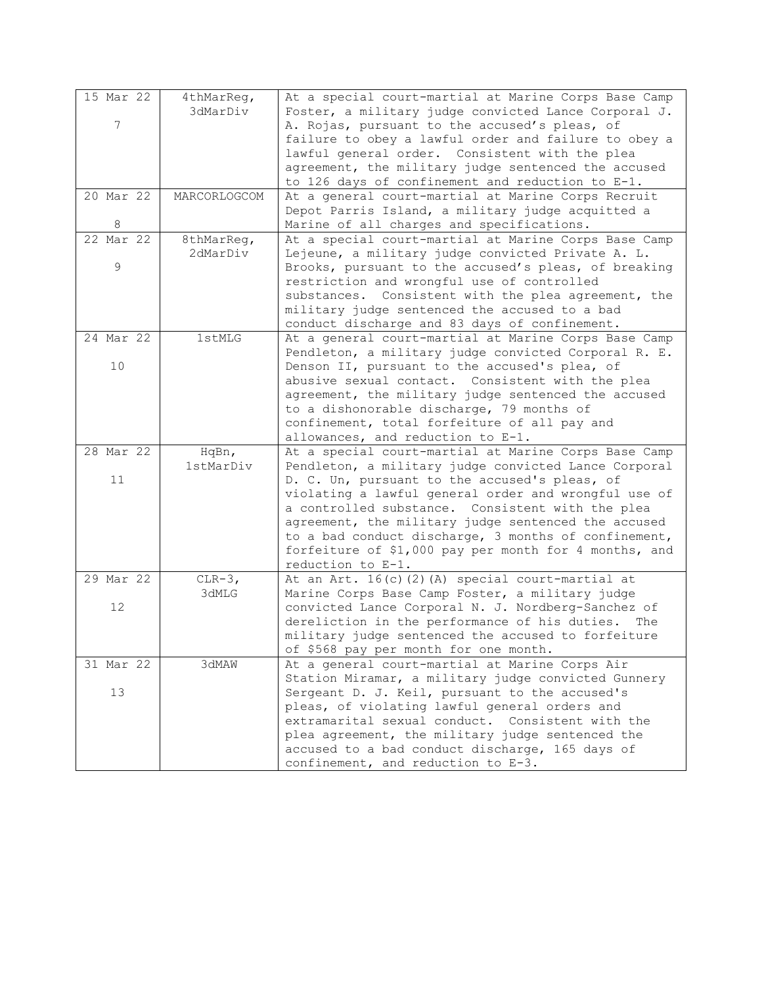| 15 Mar 22     | 4thMarReg,   | At a special court-martial at Marine Corps Base Camp  |
|---------------|--------------|-------------------------------------------------------|
|               | 3dMarDiv     | Foster, a military judge convicted Lance Corporal J.  |
| 7             |              | A. Rojas, pursuant to the accused's pleas, of         |
|               |              | failure to obey a lawful order and failure to obey a  |
|               |              | lawful general order. Consistent with the plea        |
|               |              | agreement, the military judge sentenced the accused   |
|               |              | to 126 days of confinement and reduction to E-1.      |
| 20 Mar 22     | MARCORLOGCOM | At a general court-martial at Marine Corps Recruit    |
|               |              | Depot Parris Island, a military judge acquitted a     |
| 8             |              | Marine of all charges and specifications.             |
| $22$ Mar $22$ | 8thMarReg,   | At a special court-martial at Marine Corps Base Camp  |
|               | 2dMarDiv     | Lejeune, a military judge convicted Private A. L.     |
| 9             |              | Brooks, pursuant to the accused's pleas, of breaking  |
|               |              | restriction and wrongful use of controlled            |
|               |              | substances. Consistent with the plea agreement, the   |
|               |              | military judge sentenced the accused to a bad         |
|               |              | conduct discharge and 83 days of confinement.         |
| 24 Mar 22     | 1stMLG       | At a general court-martial at Marine Corps Base Camp  |
|               |              | Pendleton, a military judge convicted Corporal R. E.  |
| 10            |              | Denson II, pursuant to the accused's plea, of         |
|               |              | abusive sexual contact. Consistent with the plea      |
|               |              | agreement, the military judge sentenced the accused   |
|               |              | to a dishonorable discharge, 79 months of             |
|               |              | confinement, total forfeiture of all pay and          |
|               |              | allowances, and reduction to E-1.                     |
| 28 Mar 22     | HqBn,        | At a special court-martial at Marine Corps Base Camp  |
|               | 1stMarDiv    | Pendleton, a military judge convicted Lance Corporal  |
| 11            |              | D. C. Un, pursuant to the accused's pleas, of         |
|               |              | violating a lawful general order and wrongful use of  |
|               |              | a controlled substance. Consistent with the plea      |
|               |              | agreement, the military judge sentenced the accused   |
|               |              | to a bad conduct discharge, 3 months of confinement,  |
|               |              | forfeiture of \$1,000 pay per month for 4 months, and |
|               |              | reduction to E-1.                                     |
| 29 Mar 22     | $CLR-3,$     | At an Art. 16(c)(2)(A) special court-martial at       |
|               | 3dMLG        | Marine Corps Base Camp Foster, a military judge       |
| 12            |              | convicted Lance Corporal N. J. Nordberg-Sanchez of    |
|               |              | dereliction in the performance of his duties.<br>The  |
|               |              | military judge sentenced the accused to forfeiture    |
|               |              | of \$568 pay per month for one month.                 |
| 31 Mar 22     | 3dMAW        | At a general court-martial at Marine Corps Air        |
|               |              | Station Miramar, a military judge convicted Gunnery   |
| 13            |              | Sergeant D. J. Keil, pursuant to the accused's        |
|               |              | pleas, of violating lawful general orders and         |
|               |              | extramarital sexual conduct. Consistent with the      |
|               |              | plea agreement, the military judge sentenced the      |
|               |              | accused to a bad conduct discharge, 165 days of       |
|               |              | confinement, and reduction to E-3.                    |